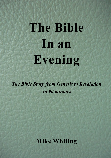# **The Bible In an Evening**

*The Bible Story from Genesis to Revelation in 90 minutes*

## **Mike Whiting**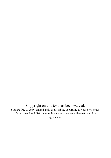Copyright on this text has been waived. You are free to copy, amend and / or distribute according to your own needs. If you amend and distribute, reference to www.easybible.net would be appreciated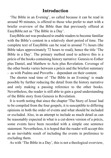## **Introduction**

'The Bible in an Evening', so called because it can be read in around 90 minutes, is offered to those who prefer to start with a briefer overview of the Bible than that previously offered at EasyBible.net as 'The Bible in a Day'.

EasyBible.net was produced to enable readers to become familiar with the Bible's content in a relatively short period of time. The complete text of EasyBible can be read in around 7½ hours (the Bible takes approximately 72 hours to read), hence the title 'The Bible in a Day'. The primary method used to achieve this is a précis of the books containing history narrative: Genesis to Esther plus Daniel, and Matthew to Acts plus Revelation. Coverage of the other books varies between a précis and the briefest summary - as with Psalms and Proverbs - dependant on their content.

The shorter read time of 'The Bible in an Evening' is made possible by further reducing the detail from the history narrative and only making a passing reference to the other books. Nevertheless, the reader is still able to gain a good understanding of the Bible story from Genesis to Revelation.

It is worth noting that since the chapter 'The Story of Jesus' had to be compiled from the four gospels, it is susceptible to differing opinions in both the order of events and what should be included or excluded. Also, in an attempt to include as much detail as can be reasonably expected in what is a cut-down version of a précis, some events have been recorded with a simple one sentence statement. Nevertheless, it is hoped that the reader will accept this as an inevitable result of including the events in preference to excluding them.

As with 'The Bible in a Day', this is not a theological overview,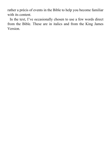rather a précis of events in the Bible to help you become familiar with its content.

In the text, I've occasionally chosen to use a few words direct from the Bible. These are in italics and from the King James Version.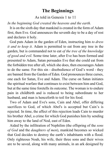## **The Beginnings**

As told in Genesis 1 to 11

*In the beginning God created the heavens and the earth.*

It is on the sixth day that mankind is created in the form of Adam first, then Eve. God announces the seventh day to be a day of rest and declares it holy.

God puts Adam in the garden of Eden, instructing him *to dress it and to keep it*. Adam is permitted to eat from any tree in the garden, but is commanded not to eat *of the tree of the knowledge of good and evil*. Some time later, after Eve has been formed and presented to Adam, Satan persuades Eve that she could eat from the forbidden tree after all, which she does, then encourages Adam to do the same. For this sin - disobedience of God's word - they are banned from the Garden of Eden. God pronounces three curses, one each for Satan, Eve and Adam. The curse on Satan initiates the spiritual warfare that continues to exist between him and God, but at the same time foretells its outcome. The woman is to endure pain in childbirth and is reduced to being subordinate to her husband, and man is henceforth to toil for his food.

Two of Adam and Eve's sons, Cain and Abel, offer differing sacrifices to God, of which Abel's is accepted but Cain's is rejected. In time, the affect of this rejection leads Cain to murder his brother Abel, a crime for which God punishes him by sending him away to the land of Nod, east of Eden.

Aided by the infiltration of Nephilim (the offspring of the *sons of God* and the *daughters of men*), mankind becomes so wicked that God decides to destroy the earth's inhabitants with a flood. Only righteous Noah, his wife, their three sons and their wives are to be saved, along with many animals, in an ark designed by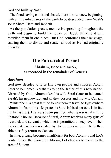God and built by Noah.

The flood having come and abated, there is now a new beginning, with all the inhabitants of the earth to be descended from Noah's sons: Shem, Ham and Japheth.

As the population grows, men resist spreading throughout the earth and begin to build the tower of Babel, thinking it will establish them in one place. But God confounds their language, causing them to divide and scatter abroad as He had originally intended.

## **The Patriarchal Period**

Abraham, Isaac and Jacob, as recorded in the remainder of Genesis

#### *Abraham*

God now decides to raise His own people and chooses Abram (later to be named Abraham) to be the father of this new nation. Directed by God, Abram takes his wife Sarai (later to be named Sarah), his nephew Lot and all they possess and move to Canaan.

Whilst there, a great famine forces them to travel to Egypt where Abram, in fear of his life, pretends Sarai is his sister (she is in fact his half-sister). His fears seem justified when Sarai is taken into Pharaoh's house. Because of Sarai, Abram receives many gifts of livestock and servants, which he is permitted to keep even when the deceit has been revealed by divine intervention. He is then able to safely return to Canaan.

In time, grazing becomes insufficient for both Abram's and Lot's herds. Given the choice by Abram, Lot chooses to move to the area of Sodom.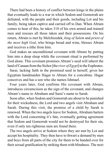There had been a history of conflict between kings in the plains that eventually leads to a war in which Sodom and Gomorrah are defeated, with the people and their goods, including Lot and his family, being taken captive and carried off to Dan. When Abram comes to hear of this, he takes 318 of his own armed and trained men and rescues all those taken and their possessions. On his return, Abram is met by Melchizedek, *king of Salem* and *priest of the most high God*, who brings bread and wine, blesses Abram and receives a tithe from him.

God makes an unconditional covenant with Abram by putting him into a deep sleep while the covenant ritual is performed by God alone. This covenant promises Abram's seed will inherit the land of Canaan from the Sichor [the *river of Egypt*] to the Euphrates.

Sarai, lacking faith in the promised seed in herself, gives her Egyptian handmaiden Hagar to Abram for a concubine. Hagar conceives and has a son who she names Ishmael.

Four years later, God confirms His covenant with Abram, introduces circumcision as the sign of the covenant, and changes Abram's name to Abraham and Sarai's name to Sarah.

Soon after, when Sodom and Gomorrah are about to be punished for their wickedness, the Lord and two angels visit Abraham and Sarah. During this visit, the promise of a child by Sarah is renewed. When the two angels leave for Sodom, Abraham barters with the Lord concerning it's fate, eventually getting agreement that Sodom and Gomorrah would not be destroyed for their sin, even if only ten righteous men are found there.

The two angels arrive at Sodom where they are met by Lot and accept his hospitality. They then have to thwart a demand by men and boys from all parts of the city for them to be handed over for their sexual gratification by striking them with blindness. The next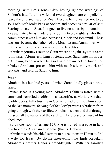morning, with Lot's sons-in-law having ignored warnings of Sodom's fate, Lot, his wife and two daughters are compelled to leave the city and head for Zoar. Despite being warned not to do so, Lot's wife looks back at Sodom and becomes a pillar of salt. Fearing to stay in Zoar, Lot goes to live on a nearby mountain in a cave. Later, he is made drunk by his two daughters who then commit incest with him and bear sons, Moab and Benammi. These two sons become the fathers of the Moabites and Ammonites, who in time will become adversaries of the Israelites.

Abraham journeys south to Gerar where he again says that Sarah is his sister. Abimelech, king of Gerar, takes Sarah into his house, but having been warned by God in a dream not to touch her, rebukes Abraham, presents him with much silver, livestock and servants, and returns Sarah to him.

#### *Isaac*

Abraham is a hundred years old when Sarah finally gives birth to Isaac.

When Isaac is a young man, Abraham's faith is tested with a command from God to offer him as a sacrifice at Moriah. Abraham readily obeys, fully trusting in God who had promised him a son. At the last moment, *the angel of the Lord* prevents Abraham from going through with the sacrifice*.* Abraham is then told that through his seed all the nations of the earth will be blessed because of his obedience.

Sarah dies soon after, age 127. She is buried in a cave in land purchased by Abraham at Mamre (that is, Hebron).

Abraham sends his chief servant to his relations in Haran to find a wife for Isaac. By divine intervention he finds Rebekah, Abraham's brother Nahor's granddaughter. With her family's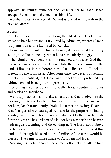approval he returns with her and presents her to Isaac. Isaac accepts Rebekah and she becomes his wife.

Abraham dies at the age of 165 and is buried with Sarah in the cave at Mamre.

#### *Jacob*

Rebekah gives birth to twins, Esau, the eldest, and Jacob. Esau grows to be a hunter and is favoured by Abraham, whereas Jacob is a plain man and is favoured by Rebekah.

Esau has no regard for his birthright, demonstrated by rashly selling it to Jacob one day when he is particularly hungry.

The Abrahamic covenant is now renewed with Isaac. God then instructs him to sojourn in Gerar while there is a famine in the land. Like his father before him, Isaac lies about Rebekah, pretending she is his sister. After some time, the deceit concerning Rebekah is realised, but Isaac and Rebekah are protected by Abimelech and Isaac grows in prosperity.

Following disputes concerning wells, Isaac eventually moves and settles at Beersheba.

As he approaches his final days, Isaac calls Esau to give him the blessing due to the firstborn. Instigated by his mother, and with her help, Jacob fraudulently obtains his father's blessing. To avoid Esau's anger, also encouraged by Isaac for the purpose of finding a wife, Jacob leaves for his uncle Laban's. On the way he rests for the night and has a vision of a ladder between earth and heaven with angels ascending and descending it. The Lord stood above the ladder and promised Jacob he and his seed would inherit this land, and through his seed all the families of the earth would be blessed. The same promise made to Abraham and Isaac.

Nearing his uncle Laban's, Jacob meets Rachel and falls in love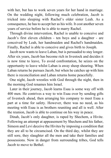with her, but has to work seven years for her hand in marriage. On the wedding night, following much celebration, Jacob is tricked into sleeping with Rachel's older sister Leah. As a consequence, he has to accept her as his wife. It cost another seven years of service before he is able to marry Rachel.

Through divine intervention, Rachel is unable to conceive and Jacob's first eleven children - ten boys and a daughter - are conceived by Leah, her handmaiden and Rachel's handmaiden. Finally, Rachel is able to conceive and gives birth to Joseph.

Jacob now wants to leave Laban, but is persuaded to stay longer. After six years, Jacob has become rich in livestock and decides it is now time to leave, To avoid confrontation, he seizes on the opportunity to leave whilst Laban is away sheep shearing. When Laban returns he pursues Jacob, but when he catches up with him there is reconciliation and Laban returns home peacefully.

One night, Jacob wrestles with God through the night, then in the morning God renames him Israel.

Later in their journey, Jacob learns Esau is some way off with 400 men. He contrives a way to win Esau over by sending gifts of livestock ahead, then arranging his company to meet Esau a part at a time for safety. However, there was no need, as his meeting with Esau is as brothers reuniting and all is well. After the reunion, Jacob is able to continue on his way in peace.

Dinah, Jacob's only daughter, is raped by Shechem, a Hivite. Following an attempt at appeasement by Shechem and his father, Simeon and Levi deceive the Hivites by imposing a condition that they are all to be circumcised. On the third day, whilst they are still sore, they slaughter all the men and take their families and possessions. Now in danger from surrounding tribes, God tells Jacob to move to Bethel.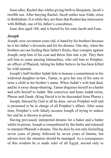Soon after, Rachel dies whilst giving birth to Benjamin, Jacob's twelfth son. After burying Rachel, Jacob settles near Edah, close to Bethlehem. It is while they are there that Reuben has intercourse with Billhah, one of his father's concubines.

Isaac dies aged 180, and is buried by his sons Jacob and Esau.

#### *Joseph*

Joseph, now seventeen years old, is hated by his brothers because he is his father's favourite and for his dreams. One day, when the brothers are out feeding their father's flocks, they conspire against Joseph, strip him of his coat and throw him into a pit. They then sell him to some passing Ishmaelites, who sell him to Potipher, an officer of Pharaoh, letting his father believe he has been killed by wild animals.

Joseph's half-brother Judah fails to honour a commitment to his widowed daughter-in-law, Tamar, to give her one of his sons to raise a child in his brother's name. When Judah's wife had died, and he is away sheep-shearing, Tamar disguises herself as a harlot and sells herself to Judah. She conceives and bears Judah twins, Pheraz and Zarah. (King David is to be descended from Pheraz.)

Joseph, blessed by God in all he does, serves Potipher well and is promoted to be in charge of all Potipher's affairs. After some time, Potipher's wife falsely accuses Joseph of trying to seduce her and he is thrown in prison.

Having previously interpreted dreams for a baker and a butler whilst in prison, Joseph is remembered by the butler and released to interpret Pharaoh's dreams. This he does by not only foretelling seven years of plenty followed by seven years of famine, but advises how the situation should be managed. As a consequence of this wisdom he is made ruler of all Egypt, second only to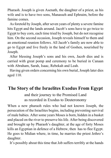Pharaoh. Joseph is given Asenath, the daughter of a priest, as his wife and is to have two sons, Manasseh and Ephraim, before the famine comes.

As foretold by Joseph, after seven years of plenty a severe famine hits Egypt and the lands around. Jacob's sons have to go twice to Egypt to buy corn, each time tried by Joseph, but do not recognise him. On the second occasion, Joseph reveals himself to them and an emotional reunion follows. All Jacob's family are now able to go to Egypt and live freely in the land of Goshen, nourished by Joseph.

After blessing Joseph's sons and his own, Jacob dies and is carried with great pomp and ceremony to be buried in Canaan with Abraham, Sarah, Isaac, Rebekah and Leah.

Having given orders concerning his own burial, Joseph later dies aged 110.

## **The Story of the Israelites Exodus From Egypt**

and their journey to the Promised Land as recorded in Exodus to Deuteronomy

When a new pharaoh rules who had not known Joseph, the persecution of the Israelites begins, including preventing survival of male babies. After some years Moses is born, hidden in a basket and placed on the river to preserve his life. After being discovered and brought up by Pharaoh's daughter, at the age of forty Moses kills an Egyptian in defence of a Hebrew, then has to flee Egypt. He goes to Midian where, in time, he marries the priest Jethro's daughter.

It's possibly about this time that Job suffers terribly at the hands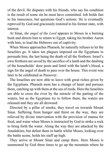of the devil. He disputes with his friends, who say his condition is the result of some sin he must have committed. Job holds fast to his innocence, but questions God's actions. He is eventually reproved by God and graciously restored to his former state, with interest.

At Sinai, *the angel of the Lord* appears to Moses in a burning bush and directs him to return to Egypt, taking his brother Aaron with him, to lead the Hebrews out of captivity.

When Moses approaches Pharaoh, he naturally refuses to let the Israelites go. It takes ten plagues imposed on the Egyptians to persuade him, the last being the death of all the firstborn. Israel's own firstborn are saved by the sacrifice of a lamb and the daubing of the households' door posts and lintel with the lamb's blood, a sign for the angel of death to pass over the house. This event was later to be celebrated as Passover.

The Israelites are now able to leave with great riches given by the Egyptians. Pharaoh soon has a change of heart and pursues them, catching up with them at the sea of reeds. Here the Israelites are able to cross the river by the miracle of the parting of the waters, but as the Egyptians try to follow them, the waters are released and they are all drowned.

Directed by a pillar of smoke, they travel on towards Mount Sinai. Suffering from hunger and thirst on the way, they are relieved by divine intervention with the provision of manna for food, and water when Moses is instructed by God to strike a rock to bring forth the water. Along the way they are attacked by the Amalekites, but defeat them in battle whilst Moses, looking over the battle scene, holds his staff up high.

They arrive at Mount Sinai and camp there. Here Moses is summoned by God three times to go up the mountain where he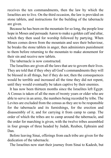receives the ten commandments, then the law by which the Israelites are to live. On the third occasion, the law is provided on stone tablets, and instructions for the building of the tabernacle are given.

Because he has been on the mountain for so long, the people lose hope in Moses and persuade Aaron to make a golden calf and altar, which they then used for worship followed by partying. When Moses comes down from the mountain and sees their behaviour, he breaks the stone tablets in anger, then administers punishment to them before returning to the mountain to make atonement for their sin and receive new tablets.

The tabernacle is now constructed.

The Israelites are given all the laws that are to govern their lives. They are told that if they obey all God's commandments they will be blessed in all things, but if they do not, then the consequences would be terrible and increased all the time they did not repent, until they would eventually be taken captive by their enemies.

It has now been thirteen months since the Israelites left Egypt. A Census is taken of all the men of twenty years or older who are able to serve in an army, the numbers being recorded by tribe. The Levites are excluded from the census as they are to be responsible for the tabernacle and its furnishings, for the erection and disassembly of it, and for carrying it from camp to camp. The order of which the tribes are to camp around the tabernacle, and the order for marching is given, with the twelve tribes assembled in four groups of three headed by Judah, Reuben, Ephraim and Dan.

Before leaving Sinai, offerings from each tribe are given for the dedication of the tabernacle.

The Israelites now start their journey from Sinai to Kadesh, but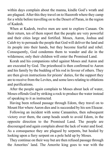within days complain about the manna, kindle God's wrath and are plagued. After this they travel on to Hazeroth where they camp for a while before travelling on to the Desert of Paran, in the region of Kadesh.

When at Kadesh, twelve men are sent to explore Canaan. On their return, ten of them report that the people are very powerful and their cities large and fortified. Moses, Aaron, Joshua and Caleb try to persuade the people that God will deliver the land and its people into their hands, but they become fearful and rebel. Consequently, God condemns them to wander and die in the wilderness; only their children will enter the Promised Land.

Korah and his companions rebel against Moses and Aaron and are executed by God. The priesthood is then confirmed to Aaron and his family by the budding of his rod in favour of others. They are then given instructions for priests' duties, for the support they are to receive from the Levites, and some laws relating to oblations and purifications.

After the people again complain to Moses about lack of water, Moses offends God by striking a rock to produce the water instead of speaking to it as instructed.

Having been refused passage through Edom, they travel on to Mount Hor where Aaron dies and is succeeded by his son Eleazar.

Following an incident with some Canaanites, then subsequent victory over them, the camp heads south to avoid Edom, in the opposite direction to the Promised Land. The people are discouraged and again complain about the lack of water and food. As a consequence they are plagued by serpents, but healed by looking upon a fiery serpent on a pole held up by Moses.

They continue on their way but are then refused passage through the Amorites' land. The Amorite king goes to war with the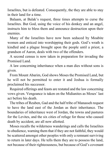Israelites, but is defeated. Consequently, the they are able to stay in their land for a time.

Balaam, at Balak's request, three times attempts to curse the Israelites. But God, using the voice of his donkey and an angel, instructs him to bless them and announce destruction upon their enemies.

Many of the Israelites have now been seduced by Moabite women and enticed into worshipping their gods. God's wrath is kindled and a plague brought upon the people until a priest, a grandson of Aaron, deals with two of the offenders.

A second census is now taken in preparation for invading the Promised Land.

A law concerning inheritance when a man dies without sons is given.

From Mount Abarim, God shows Moses the Promised Land, but he will not be permitted to enter it and Joshua is formally proclaimed his successor.

Required offerings and feasts are restated and the law concerning vows given. Vengeance is taken on the Midianites as Moses' last act before his death.

The tribes of Reuben, Gad and the half tribe of Manasseh request to have the land east of the Jordan as their inheritance. The boundaries of inheritance west of Jordan, the towns and pastures for the Levites, and the six cities of refuge for those who caused death by accident, are all now allotted.

Moses recalls the wilderness wanderings and calls the Israelites to obedience, warning them that if they are not faithful, they would be scattered amongst other peoples with only a remnant surviving to return in later days. He tells them they are to possess the land, not because of their righteousness, but because of God's covenant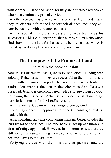with Abraham, Isaac and Jacob, for they are a stiff-necked people who have continually provoked God.

Another covenant is entered with a promise from God that if they are dispersed from the land for their disobedience, they will later be restored with circumcised hearts.

At the age of 120 years, Moses announces Joshua as his successor. He blesses all the tribes, then climbs Mount Nebo where God shows him the land for the last time before he dies. Moses is buried by God in a place not known by any man.

## **The Conquest of the Promised Land**

As told in the book of Joshua

Now Moses successor, Joshua, sends spies to Jericho. Having been aided by Rahab, a harlot, they are successful in their mission and return with a favourable report. The Israelites cross the Jordan in a miraculous manner, the men are then circumcised and Passover observed. Jericho is then conquered with a strategy given by God. Following their success, Achan is punished for stealing things from Jericho meant for the Lord's treasury.

Ai is taken next, again with a strategy given by God.

Following a deceitful approach from the Gibeonites, a treaty is made with them.

After spending six years conquering Canaan, Joshua divides the land by lot to the tribes. The tabernacle is set up at Shiloh and cities of refuge appointed. However, in numerous cases, there are still some Canaanites living there, some of whom, but not all, become slaves to the Israelites.

Forty-eight cities with their surrounding pasture land are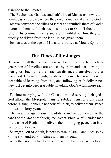assigned to the Levites.

The Reubenites, Gadites, and half-tribe of Manasseh now return home, east of Jordan, where they erect a memorial altar to God.

Joshua convenes the tribes of Israel and reminds them of God's favour to them, and their responsibilities to God. If they do not follow His commandments and are unfaithful to Him, they will quickly be driven from the land He has given them.

Joshua dies at the age of 110, and is buried at Mount Ephraim.

#### **The Times of the Judges**

Because not all the Canaanites were driven from the land, a later generation of Israelites are enticed by them and start turning to their gods. Each time the Israelites distance themselves further from God, He raises a judge to deliver them. The Israelites seem incapable of learning from this, and following each deliverance they just get into deeper trouble, invoking God's wrath more each time.

For intermarrying with the Canaanites and serving their gods, God allows the Mesopotamians to subdue them for eight years before raising Othniel, a nephew of Caleb, to deliver them. Peace follows for forty years.

The Israelites again lapse into idolatry and are delivered into the hands of the Moabites for eighteen years. Ehud, a left-handed man of the tribe of Benjamin, delivers them, bringing peace that is to last for eighty years.

Shamgar, son of Anath, is next to rescue Israel, and does so by killing six hundred Philistines with an ox goad.

After the Israelites had been oppressed for twenty years by Jabin,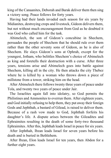king of the Canaanites, Deborah and Barak deliver them then sing a victory song. Peace follows for forty years.

Having had their lands invaded each season for six years by Midianites, destroying crops and livestock, Gideon delivers them, but not without much encouragement from God as he doubted it was God who called him for the task.

Abimelech, the son of Gideon's concubine in Shechem, persuades the people of Shechem that he should rule over them rather than the other seventy sons of Gideon, as he is also of Shechem. He slays Gideon's sons at Ophrah, except for the youngest, Jotham, who belittles Shechem's choice of Abimelech as king and foretells their destruction with a curse. After three years, tensions arise and Abimelech goes into battle against Shechem, killing all in the city. He then attacks the city Thebez where he is killed by a woman who throws down a piece of millstone from a tower, striking him on the head.

After Abimelech there follows twenty three years of peace under Tola, and twenty two years of peace under Jair.

The Israelites again fall into idolatry, so God permits the Philistines and Ammonites to overrun them. After eighteen years, and God initially refusing to help them, they put away their foreign Gods and Jephthah, a bastard of Gilead, is raised to deliver them. Because of a rash vow made to God, Jephthah forfeits his daughter's life. A dispute arises between the Gileadites and Ephraimites resulting in the death of some forty-two thousand Ephraimites. After this, Jephthah leads Israel in peace for six years.

After Jephthah, Ibzan leads Israel for seven years before his death and is buried in Bethlehem.

After Ibzan, Elon leads Israel for ten years, then Abdon for a further eight years.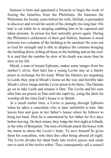Samson is born and appointed a Nazarite to begin the work of freeing the Israelites from the Philistines. He harasses the Philistines for twenty years before his wife, Delilah, is persuaded to discover and reveal the secret of his strength; his long hair. His hair is cut while he is sleeping enabling him to be captured and taken prisoner. In prison his hair naturally grows again. During the Philistine's celebration of their god Dafron, Samson is stood between two columns of the building to be mocked. He cries out to God for strength and is able to displace the columns bringing the building down, killing all those in the building and on the roof. It is said that the number he slew at his death was more than he slew in his life.

Micah, a man of mount Ephraim, makes some images from his mother's silver, then later has a young Levite stay as a family priest in exchange for his keep. When the Danites are migrating to Laish, they stop at Micah's home on the way and forcibly take Micah's silver image and the Levite priest to be theirs. The Danites go on to take Laish and rename it Dan. The Levite and his sons after him are priests in Dan until the captivity, using the idols for worship all the time God's house is in Shiloh.

At a much earlier time, a Levite is passing through Ephraim when he takes a concubine who is later unfaithful to him. She leaves him and goes to her father's house where he follows to bring her back. Here he is entertained by her father for five days before leaving. On their return, they lodge the first night at Gibeah, in the tribe of Benjamin. The men of Gibeah attack the house with the intent to abuse the Levite's body. To save himself he gives them his concubine, who then dies after being abused all night. The Levite divides her dead body into twelve pieces and sends one to each of the twelve tribes. They consequently call a council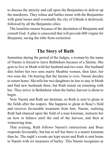to discuss the atrocity and call upon the Benjamites to deliver up the murderers. They refuse and battles ensue with the Benjamites with great losses until eventually the city of Gibeah is destroyed, followed by all the Benjamite cities.

The Israelites mourn because of the desolation of Benjamin and consult God. A plan is concocted that will provide 600 virgins for Benjamin, saving the tribe from extinction.

## **The Story of Ruth**

Sometime during the period of the Judges, a woman by the name of Naomi is forced to leave Bethlehem because of a famine. She goes to live in Moab with her husband and two sons. Her husband dies before her two sons marry Moabite women, then later, her two sons die. On hearing that the famine is over, Naomi decides to return home. She tells her two daughters-in-law to stay in Moab and find new husbands there, but Ruth insists on returning with her. They arrive in Bethlehem when the barley harvest is about to begin.

Now Naomi and Ruth are destitute, so Ruth is sent to glean in the fields after the reapers. She happens to glean in Boaz's field and receives favourable treatment from him. Naomi, realising Ruth had chanced upon the field of a near kinsman, instructs her on how to behave until the end of the harvest, and then at winnowing time.

That evening, Ruth follows Naomi's instructions and Boaz responds favourably, but has to tell her there is a nearer kinsman than he. The night's events are kept secret and Ruth is sent home to Naomi with six measures of barley. This Naomi recognises as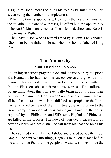a sign that Boaz intends to fulfil his role as kinsman redeemer, seven being the number of completeness.

When the time is appropriate, Boaz tells the nearer kinsman of the situation. In front of witnesses, he offers him the opportunity to be Ruth's kinsman redeemer. The offer is declined and Boaz is free to marry Ruth.

They have a son who is named Obed by Naomi's neighbours. Obed is to be the father of Jesse, who is to be the father of King David.

## **The Monarchy**

#### Saul, David and Solomon

Following an earnest prayer to God and intercession by the priest Eli, Hannah, who had been barren, conceives and gives birth to Samuel. Her son is dedicated to God and sent to serve with Eli. In time, Eli's sons abuse their positions as priests. Eli's failure to do anything about this will eventually bring about his and their downfall. Meanwhile, God is with Samuel and as Samuel grows, all Israel come to know he is established as a prophet to the Lord.

After a failed battle with the Philistines, the ark is taken to the Israeli camp in support of their campaign. However, the ark is captured by the Philistines, and Eli's sons, Hophni and Phinehas, are killed in the process. The news of their death causes Eli, by now an elderly and heavy man, to fall from his seat and break his neck.

The captured ark is taken to Ashdod and placed beside their idol Dagon. The next two mornings, Dagon is found on its face before the ark, putting fear into the people of Ashdod, so they move the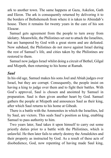ark to another town. The same happens at Gaza, Askelon, Gath and Ekron. The ark is consequently returned by delivering it to the borders of Bethshemesh from where it is taken to Abinidab's house. There it remains for twenty years in the care of his son Eleazar.

Samuel gets agreement from the people to turn away from idolatry. Meanwhile, the Philistines set out to attack the Israelites, but are hampered by God with a great storm and are defeated. Now subdued, the Philistines do not move against Israel during the rest of Samuel's life, and cities taken by the Philistines are restored to them.

Samuel now judges Israel whilst doing a circuit of Bethel, Gilgal and Mizpeth, then returning to his home at Ramah.

#### *Saul*

In his old age, Samuel makes his sons Joel and Abiah judges over Israel, but they are corrupt. Consequently, the people insist on having a king to judge over them and to fight their battles. With God's approval, Saul is chosen and anointed by Samuel in preparation. Saul is then given another heart by God. Samuel gathers the people at Mizpeth and announces Saul as their king, after which Saul returns to his home at Gibeah.

There is a battle with the Ammonites in which the Israelites, led by Saul, are victors. This seals Saul's position as king, enabling Samuel to pass authority to him.

Two years later, Saul takes it upon himself to carry out some priestly duties prior to a battle with the Philistines, which is unlawful. He then later fails to utterly destroy the Amalekites and their property as instructed by God. As a result of these acts of disobedience, God, now repenting of having made Saul king,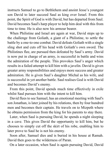instructs Samuel to go to Bethlehem and anoint Jesse's youngest son David to later succeed Saul as king over Israel. From this point, the Spirit of God is with David, but has departed from Saul. David becomes Saul's harp player to help him deal with this from time to time. He is also now his armour bearer.

When Philistine and Israel are again at war, David steps up to the challenge from Goliath, a giant of a Philistine, to settle the battle by a one-to-one combat. David defeats Goliath with a single sling shot and cuts off his head with Goliath's own sword. The Philistines flee, are pursued then defeated by Saul's army. David is now put in charge of an army, is successful in battle and wins the admiration of the people. This provokes Saul's anger which results in a failed attempt to kill him with a javelin. David is given greater army responsibilities and enjoys more success and greater admiration. He is given Saul's daughter Michal as his wife, and is successful in yet another battle. Saul realises God is with David and becomes David's enemy.

From this point, David spends much time effectively in exile whilst Saul pursues him with the intent to kill him.

David flees to see Samuel, has an emotional meeting with Saul's son Jonathan, is later joined by his relations, then by four hundred men and becomes their captain. He travels on to Mizpeth where he obtains permission from the king for his parents to stay there.

Later, when Saul is pursuing David, he spends a night sleeping in a cave. This gives David the opportunity to kill him, but he chooses to simply cut off the skirt of his robe, enabling him to later prove to Saul he is not his enemy.

Soon after, Samuel dies and is buried in his house at Ramah. David then goes to the wilderness of Paran.

On a later occasion, when Saul is again pursuing David, David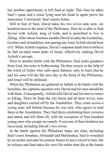has another opportunity to kill Saul at night. This time he takes Saul's spear and a cruse lying near his head to again prove his innocence. Convinced, Saul returns home.

Still in fear of Saul, David takes his two wives and, now, six hundred men to the land of the Philistines. Here he is able to find favour with Achish, king of Gath, and is permitted to live in Ziklag. After about fourteen months David invades the Geshurites, Gezrites and Amalekites, not sparing any least Achish should hear of it. When Achish enquires, David's response leads him to believe he had invaded some parts of Israel, effectively making David Achish's servant.

Prior to another battle with the Philistines, Saul seeks guidance from God, but none is forthcoming. He then resorts to the help of the witch of Endor who calls upon Samuel, only to learn that he and his sons will die the next day at the hand of the Philistines, and Israel will be defeated.

When the Philistines are gathered at Aphek to do battle with the Israelites, the captains question why David and his men should be with them. Consequently, Achish tells David and his men to return to Ziklag. There he finds the city burnt and all their wives, sons and daughters carried off by the Amalekites. They come across a young man, left behind because he was sick, who agrees to lead them to the Amalekites. They find them celebrating their victories and attack and kill them all, with the exception of four hundred young men who escape on camels. Everyone of their brethren are recovered, including David's two wives.

In the battle against the Philistines many are slain, including Saul's sons Jonathan, Abinadab and Malchishua. Saul is wounded by an archer and asks his armour bearer to put a sword to him, but he refuses and Saul takes his own life rather than die at the hands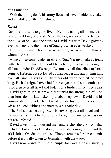of a Philistine.

With their king dead, his army flees and several cities are taken and inhabited by the Philistines.

#### *David*

David is now able to go to live in Hebron, taking all his men, and is anointed king of Judah. Nevertheless, wars continue between the house of Saul and the house of David, but with David growing ever stronger and the house of Saul growing ever weaker.

During this time, David has six sons by six wives, the third of whom is Absalom.

Abner, once commander-in-chief of Saul's army, makes a treaty with David in which he would be actively involved in bringing all Israel under David's reign. Eventually, all the tribes of Israel come to Hebron, accept David as their leader and anoint him king over all Israel. David is thirty years old when he first becomes king. He had reigned over Judah seven years and six months, and is to reign over all Israel and Judah for a further thirty three years.

David goes to Jerusalem and first takes the stronghold of Zion, then Jerusalem is later taken by Joab, a nephew of David and his commander in chief. Here David builds his house, takes more wives and concubines and increases his offspring.

The Philistines, hearing David is now king over all Israel and all the more of a threat to them, come to fight him on two occasions, but are defeated.

David takes thirty thousand men and fetches the ark from Baal of Judah, but an incident along the way discourages him and the ark is left at Obededom's house. There it remains for three months before it is finally taken to Jerusalem with great joy.

David now wants to build a temple for God, a desire initially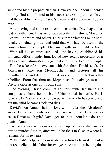supported by the prophet Nathan. However, the honour is denied him by God and allotted to his successor. God promises David that the establishment of David's throne and kingdom will be for ever.

After having had some rest from his enemies, David again has to deal with them. He is victorious over the Philistines, Moabites, Syrians, Edomites and others. During these victories much spoil is taken, including brass and gold that will later be used in the construction of the temple. Also, many gifts are brought to David.

With all his enemies subdued, and having established his principal officers under him, David now reigns peacefully over all Israel and administers judgement and justice to all his people.

For the sake of his covenant with Jonathan, David sends for Jonathan's lame son Mephibosheth and restores all his grandfather's land due to him that was lost during Ishbosheth's rebellion. From that time on, Mephibosheth is always to eat at David's table as one of his own sons.

One evening, David commits adultery with Bathsheba and conspires to have her husband Uriah killed in battle. He is reproved by Nathan and bitterly repents. Bathsheba has conceived, but the child becomes sick and dies.

David's son Amnon falls in love with his brother Absalom's sister, Tamar, and contrives to have sex with her. His advances cause Tamar much grief. David gets to know about it but does not punish Amnon.

Two years later, Absalom is able to set up a situation that enables him to murder Amnon, after which he flees to Geshur where he remains for three years.

With Joab's help, Absalom is able to return to Jerusalem, but is not reconciled to his father for two years. Absalom rebels against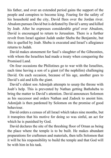his father, and over an extended period gains the support of the people and conspires to become king. Fearing for the safety of his household and the city, David flees over the Jordan river. Absalom pursues David but is defeated by David's army and killed by Joab. After he expresses considerable grief over Absalom, David is encouraged to return to Jerusalem. There is a further revolt from Israel against Judah under Sheba the Benjamite, but this is quelled by Joab. Sheba is executed and Israel's allegiance returns to Judah.

David makes atonement for Saul's slaughter of the Gibeonites, with whom the Israelites had made a treaty when conquering the Promised Land.

On four occasions the Philistines go to war with the Israelites, each time having a son of a giant (of the nephilim) challenging David. On each occasion, because of his age, another goes to David's aid and kills the giant.

David's eldest son Adonijah attempts to usurp the throne with Joab's help. This is prevented by Nathan getting Bathsheba to bring the matter to David's attention. David announces Solomon as his successor and orders Nathan and Zadock to anoint him. Adonijah is then pardoned by Solomon on the promise of good behaviour.

David orders a census of all Israel which takes nine months, but it transpires that his motive for doing so was sinful, an act for which he is punished by God.

David declares the site of the threshing floor of Ornan as being the place where the temple is to be built. He makes abundant preparations for craftsmen and materials, then tells Solomon that it will be his responsibility to build the temple and that God will be with him in his task.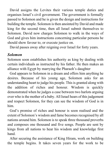David assigns the Levites their various temple duties and organises Israel's civil government. The government is formally passed to Solomon and he is given the design and instructions for building the temple. Solomon is then anointed by David and made king for the second time, then all Israel submit themselves to Solomon. David now charges Solomon to walk in the ways of God and gives him instructions concerning particular persons he should show favour to, or execute justice on.

David passes away after reigning over Israel for forty years.

#### *Solomon*

Solomon soon establishes his authority as king by dealing with certain individuals as instructed by his father. He then makes an alliance with Egypt by marrying the Pharaoh's daughter

God appears to Solomon in a dream and offers him anything he desires. Because of his young age, Solomon asks for an understanding heart to judge his people. This is granted along with the addition of riches and honour. Wisdom is quickly demonstrated when he judges a case between two harlots arguing over who is the mother of a baby. All Israel hears of this judgement and respect Solomon, for they can see the wisdom of God is in him.

God's promise of riches and honour is soon realised and the extent of Solomon's wisdom and fame becomes recognised by all nations around him. Solomon is to speak three thousand proverbs and composes one thousand and five songs. People are sent by kings from all nations to hear his wisdom and knowledge first hand.

After securing the assistance of King Hiram, work on building the temple begins. It takes seven years for the work to be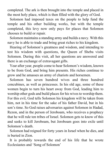completed. The ark is then brought into the temple and placed in the most holy place, which is then filled with the glory of God.

Solomon had imposed taxes on the people to help fund the temple and his other building works, but with the temple completed, this levy now only pays for places that Solomon chooses to build or repair.

Solomon maintains a standing army and builds a navy. With this navy he is able to trade and bring great riches to his kingdom.

Hearing of Solomon's greatness and wisdom, and intending to test his wisdom with questions, the Queen of Sheba visits Solomon. During this visit, all her questions are answered and there is an exchange of extravagant gifts.

Year after year, people come to hear Solomon's wisdom, known to be from God, and bring him presents. His riches continue to grow and he amasses an army of chariots and horsemen.

Solomon has seven hundred wives and three hundred concubines, as well as princesses. In his old age, some of these women begin to turn his heart away from God, leading him to worship other gods and build places for his wives to worship them. For this evil, God tells Solomon his kingdom will be taken from him, not in his time for the sake of his father David, but in his son's time. So God raises adversaries against Solomon in Hadad, Rezon, and in the person of Jeroboam, who receives a prophecy that he will rule ten tribes of Israel. Solomon gets to know of this and seeks to kill Jeroboam, but Jeroboam goes into exile until Solomon's death.

Solomon had reigned for forty years in Israel when he dies, and is buried in Zion.

It is probably towards the end of his life that he wrote Ecclesiastes and 'Song of Solomon'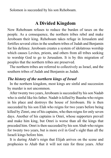Solomon is succeeded by his son Rehoboam.

## **A Divided Kingdom**

Now Rehoboam refuses to reduce the burden of taxes on the people. As a consequence, the northern tribes rebel and make Jeroboam their king. Rehoboam takes refuge in Jerusalem and fortifies several cities in the southern tribes of Judah and Benjamin for his defence. Jeroboam creates a system of idolatrous worship which causes Levites, priests, and others from all tribes seeking to worship God to go to Jerusalem. It is by this migration of peoples that the northern tribes are preserved.

The northern tribes are referred to collectively as Israel, and the southern tribes of Judah and Benjamin as Judah.

#### *The history of the northern kings of Israel*

In the northern kingdom, most kings are sinful and succession by murder is not uncommon.

After twenty two years, Jeroboam is succeeded by his son Nadab who is sinful like his father. Nadab is killed by Baasha who reigns in his place and destroys the house of Jeroboam. He is then succeeded by his son Elah who reigns for two years before being killed by Zimri, one of his captains, who then reigns for only seven days. Another of his captains is Omri, whose supporters prevail and make him king, but Omri is worse than all the kings that preceded him. Omri is then succeeded by his son Ahab who reigns for twenty two years, but is more evil in God's sight than all the Israeli kings before him.

It is during Ahab's reign that Elijah arrives on the scene and prophesies to Ahab that it will not rain for three years. After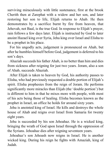surviving miraculously with little sustenance, first at the brook Cherith then at Zarephat with a widow and her son, and later restoring her son to life, Elijah returns to Ahab. He then demonstrates by a sacrifice burnt by fire from heaven, that Jehovah, not Baal, is the true God. In response to Elijah's prayer, rain follows a few days later. Elijah is instructed by God to later anoint Hazael king over Syria, Jehu king over Israel and Elisha to be a prophet in his place.

For his ungodly acts, judgement is pronounced on Ahab, but after he humbles himself before God, judgement is deferred to his son's days.

Ahaziah succeeds his father Ahab, is no better than him and dies from sickness after reigning for just two years. Joram, also a son of Ahab, succeeds Ahaziah.

After Elijah is taken to heaven by God, his authority passes to Elisha, who had previously requested a double portion of Elijah's spirit. Elisha prophesies from the reign of Joram. He performs significantly more miracles than Elijah (the 'double portion') but is different to him in that he mixes more with people, with most of his acts being those of healing. Elisha becomes known as the prophet in Israel, an office he holds for around sixty years.

Jehu is anointed king of Israel. He kills and destroys the whole house of Ahab and reigns over Israel from Samaria for twenty eight years.

Jehu is succeeded by his son Jehoahaz. He is a wicked king, bringing the wrath of God upon Israel through the oppression of the Syrians. Jehoahaz dies after reigning seventeen years.

Jehoahaz's son Jehoash now reigns in Israel. He is another wicked king. During his reign he fights with Amaziah, king of Judah.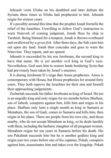Jehoash visits Elisha on his deathbed and later defeats the Syrians three times as Elisha had prophesied to him. Jehoash reigns for sixteen years.

It's possibly around this time that the prophet Jonah foretells the relief of the Israelites. Unwilling to follow God's instruction to warn Nineveh of coming judgment, Jonah flees by ship to Tarshish. Being blamed for a tempest, Jonah is thrown overboard and swallowed by *a great fish*. After three days, the fish casts him out upon dry land. Jonah then concedes and goes to warn the Ninevites. They repent, and are spared.

Jehoash is succeeded by his son Jeroboam, the second king to have that name. He is yet another evil king in God's eyes. Nevertheless, God uses him to restore lands bordering Syria that had previously been taken by Israel's enemies.

It is during Jeroboam II's reign that Amos prophesies. Amos is contemporary with Hosea, but Hosea prophesies for around forty years. They both reprove the Israelites for their sins and foretell their approaching judgements.

Zechariah succeeds his father Jeroboam as king of Israel. He too is an ungodly king and only reigns for six months before Shallum, son of Jabesh, conspires against him, kills him and reigns in his place. Shallum only lasts a single month as king in Samaria as Menahem, the son of Gadi, comes to Samaria and kills him, then reigns in his place. There are people from his own city, and those nearby, who do not accept Menahem as king, so he deals harshly with them, including the barbaric slaughter of all pregnant women. Menahem reigns for ten years in Samaria before his death. His son Pekahiah succeeds him but he is another godless king and reigns just two years before one of his captains, Pekah, conspires against him, assassinates him and takes over the kingship. Pekah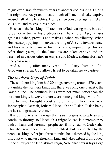reigns over Israel for twenty years as another godless king. During his reign, the Assyrians invade much of Israel and take captive around half of the Israelites. Hoshea then conspires against Pekah, kills him, and reigns in his place.

Hoshea is the last king of Israel, not a God fearing man, but said to be not as bad as his predecessors. The king of Assyria rises against Hoshea, prevails and makes Hoshea his tributary. When Hoshea stops paying him taxes, the king of Assyria invades Israel and lays siege to Samaria for three years, imprisoning Hoshea. After three years, all the Israelites are taken captive and are resettled in various cities in Assyria and Medes, ending Hoshea's nine year reign.

And so it is, after many years of idolatry from the first Jerobaom's reign, God allows Israel to be taken away captive.

#### *The southern kings of Judah*

The southern kingdom had 20 kings covering around 370 years, but unlike the northern kingdom, there was only one dynasty: the Davidic line. The southern kings were not much better than the northern kings, however, there were some good kings who, from time to time, brought about a reformation. They were Asa, Jehoshaphat, Azariah, Jotham, Hezekiah and Josiah, Josiah being the last and greatest reformer.

It is during Azariah's reign that Isaiah begins to prophesy and continues through to Hezehiah's reign; Micah is contemporary with Jotham; and Jeremiah prophesies from Josiah to Zedekiah.

Josiah's son Jehoahaz is not the eldest, but is anointed by the people as king. After just three months, he is deposed by the king of Egypt who makes Jehoiakim king and takes tribute from Judea. In the third year of Jehoiakim's reign, Nebuchadnezzar lays siege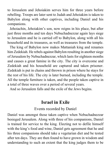to Jerusalem and Jehoiakim serves him for three years before rebelling. Troops are later sent to Judah and Jehoiakim is taken to Babylon along with other captives, including Daniel and his companions.

Jehoiachin, Jehoiakim's son, now reigns in his place, but after just three months and ten days Nebuchadnezzar again lays siege to Jerusalem and he is carried off to Babylon, along with all his household and its treasures, as well as treasures from the temple.

The king of Babylon now makes Mattaniah king and renames him Zedekiah. He rebels against Babylon resulting in another siege of Jerusalem by Nebuchadnezzar, which lasts for eighteen months and causes a great famine in the city. The city is overcome and Zedekiah and his household are captured and taken prisoner. Zedekiah is put in chains and thrown in prison where he stays for the rest of his life. The city is later burned, including the temple. All the temple furniture is taken, and the people taken captive in a total of three waves over a period of several years.

And so Jerusalem falls and the exile of the Jews begins.

#### **Israel in Exile**

Events recorded by Daniel

Daniel was amongst those taken captive when Nebuchadnezzar besieged Jerusalem. Along with three of his companions, Daniel is trained for service to the king. Electing not to defile himself with the king's food and wine, Daniel gets agreement that he and his three companions should take a vegetarian diet and be tested after ten days. They are then found to have grown in wisdom and understanding to such an extent that the king judges them to be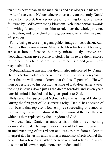ten times better than all the magicians and astrologers in his realm.

After three years, Nebuchadnezzar has a dream that only Daniel is able to interpret. It is a prophesy of four kingdoms, or empires, followed by God's everlasting kingdom. Nebuchadnezzar rewards him with gifts and promotes him to rule over the whole province of Babylon, and to be chief of the governors over all the wise men of Babylon.

For refusing to worship a giant golden image of Nebuchaznezzar, Daniel's three companions, Shadrach, Meschach and Abednego, are cast into a furnace, but they miraculously survive and Nebuchadnezzar gives praise to God. The three are then restored to the positions held before they were accused and given more responsibilities.

Nebuchadnezzar has another dream, also interpreted by Daniel. He tells Nebuchadnezzar he will lose his mind for seven years in order that he will come to know that God is all powerful. He will then be restored to his position as king of Babylon. After a year, the king is struck down just as the dream foretold, and seven years later his mind is healed and he gives praise to God.

Belshazzar has succeeded Nebuchadnezzar as king of Babylon. During the first year of Belshazzar's reign, Daniel has a vision of four beasts that represent four empires succeeding one another, followed by the annihilation of the dominion of the fourth beast which is then replaced by the kingdom of God.

Two years later Daniel has another vision, this time concerning a ram and a goat. The angel Gabriel is sent to Daniel to give him an understanding of this vision and awakes him from a sleep to interpret it. The vision and its interpretation so affects Daniel that he is ill for a few days. When he recovers and relates the vision to some of his own people, none can understand it.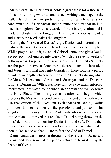Many years later Belshazzar holds a great feast for a thousand of his lords, during which a hand is seen writing a message on the wall. Daniel then interprets the writing, which is a short condemnation of Belshazzar and an announcement that he is to lose his kingdom. Daniel is rewarded for the interpretation and is made third ruler in the kingdom. That night the city is invaded and Darius the Mede takes the kingdom.

During the first year of Darius' reign, Daniel reads Jeremiah and realises the seventy years of Israel's exile are nearly complete. Whilst praying about it, the angel Gabriel comes and gives Daniel a prophecy involving seventy weeks (which are seventy weeks of 360-day-years) representing Israel's destiny. The first 69 weeks are the period between Artaxerxes' decree to rebuild Jerusalem and Jesus' triumphal entry into Jerusalem. There follows a period of unknown length between the 69th and 70th weeks during which the Messiah is executed, Jerusalem is destroyed and the Diaspora follows. During the 70th week there will be a covenant enforced, interrupted half way through when an abomination will desolate the Holy Place. Then the great tribulation will begin which precedes the Messiah's second coming at the end of the 70th week.

In recognition of the excellent spirit that is in Daniel, Darius promotes him to be over all the presidents and princes in his kingdom, to the envy of Darius' officials who seek to be rid of him. A plan is contrived that results in Daniel being thrown in the lions' den. But in the morning Daniel is found safe. Darius then orders Daniel's accusers and their families to be cast into the den, then makes a decree that all are to fear the God of Daniel.

Daniel continues to prosper throughout the reigns of Darius and Cyrus, and sees some of his people return to Jerusalem by the decree of Cyrus.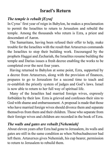## **Israel's Return**

#### *The temple is rebuilt [Ezra]*

In Cyrus' first year of reign in Babylon, he makes a proclamation to permit the Israelites to return to Jerusalem and rebuild the temple. Among the thousands who return is Ezra, a priest and descendant of Aaron.

The Samaritans, having been refused their offer to help, make trouble for the Israelites with the result that Artaxerxes commands the Israelites to stop their building work. Encouraged by the prophets Haggai and Zechariah, the Israelites resume building the temple and Darius issues a fresh decree enabling the works to be completed over the next four years.

Having returned to Babylon at some point, Ezra, supported by a decree from Artaxerxes, along with the provision of finances, prepares to go to Jerusalem for a second time to teach and re-establish the priestly system of judges and God's laws. Israel is now able to return to her full way of spiritual life.

Many of the Israelites had married foreign wives, expressly forbidden by their law. Ezra is grieved and confesses their sins to God with shame and embarrassment. A proposal is made that those who have married foreign wives should divorce them and separate themselves from them and their children. Those who separate from their foreign wives and children are recorded in the book of Ezra.

#### *The walls and gates are rebuilt [Nehemiah]*

About eleven years after Ezra had gone to Jerusalem, its walls and gates are still in the same condition as when Nebuchadnezzer had left them. Artaxerxes gives Nehemiah, his cup bearer, permission to return to Jerusalem to rebuild them.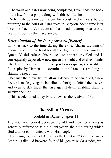The walls and gates now being completed, Ezra reads the book of the law from a pulpit along with thirteen Levites.

Nehemiah governs Jerusalem for about twelve years before returning to the court of Artaxerxes in Babylon. Some time later he comes back to Jerusalem and has to adopt strong measures to deal with abuses that have arisen.

#### *Extermination of the Jews prevented [Esther]*

Looking back to the time during the exile, Ahasuerus, king of Persia, holds a great feast for all the dignitaries of his kingdom. Queen Vashti refuses his request to appear unveiled and is consequently deposed. A new queen is sought and twelve months later Esther is chosen. From her position as queen, she is able to foil a plot by Haman to exterminate the Israelites, resulting in Haman's execution.

Because their law did not allow a decree to be cancelled, a new decree is made giving the Israelites authority to defend themselves and even to slay those that rise against them, enabling them to survive the plot.

This is celebrated today by the Jews as the festival of Purim.

## **The 'Silent' Years**

#### foretold in Daniel chapter 11

The 400 year period between the old and new testaments is generally referred to as the 'silent years', the time during which God did not communicate with His people.

Following the death of Alexander the Great in 323 B.C., the Greek Empire is divided between four of his generals: Cassander, who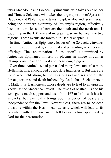takes Macedonia and Greece; Lysimachus, who takes Asia Minor and Thrace; Seleucus, who takes the largest portion of Syria and Babylon; and Ptolemy, who takes Egypt, Arabia and Israel. Israel, being the northern extremity of Ptolemy's region, effectively becomes a buffer state between the south and the north and is caught up in the 150 years of incessant warfare between the two regions. These events are foretold in Daniel chapter 11.

In time, Antiochus Epiphanes, leader of the Seleucids, invades the Temple, defiling it by entering it and preventing sacrifices and offerings. The "abomination of desolation" is committed by Antiochus Epiphanes himself by placing an image of Jupiter Olympus on the altar of God and sacrificing a pig on it.

Over time, Antiochus had persuaded many Jews toward a more Hellenistic life, encouraged by apostate high priests. But there are those who held strong to the laws of God and resisted all the threats, tortures and death inflicted by Antiochus. Such a person is Mattathius Hasmoneas, whose deeds are to lead to an uprising known as the Maccabean revolt. The revolt of Mattathius and his sons gains much support and lasts from 167 to 160 B.C. It has its setbacks, but eventually brings about a period of peace and independence for the Jews. Nevertheless, there are to be deep divisions within the Hasmonean dynasty which will lead to its downfall, with the Jewish nation left to await a time appointed by God for their restoration.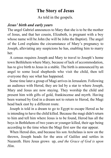## **The Story of Jesus**

As told in the gospels.

#### *Jesus' birth and early years*

The angel Gabriel announces to Mary that she is to be the mother of Jesus, and that her cousin, Elizabeth, is pregnant with a boy whose name will be John (he will be John the Baptist). The angel of the Lord explains the circumstance of Mary's pregnancy to Joseph, alleviating any suspicions he has, enabling him to marry her.

A census requires Joseph and Mary to travel to Joseph's home town Bethlehem where Mary, because of lack of accommodation, has to give birth to Jesus in a stable. The birth is announced by an angel to some local shepherds who visit the child, then tell everyone they see what has happened.

Some time later a group of Magi arrives in Jerusalem. Following an audience with Herod, they are led by a star to where Joseph, Mary and Jesus are now staying. They worship the child and present him with gifts of gold, frankincense and myrrh. Having been warned by God in a dream not to return to Herod, the Magi head back east by a different route.

Joseph is told in a dream to go to Egypt to escape Herod as he is intending to have the child killed. Because the magi didn't return to him and tell him where Jesus is to be found, Herod has all the boys in Bethlehem of two years or younger killed, their age being according to the time when the Magi first saw the star appear.

When Herod dies, and because his son Archelaus is now on the thrown, Joseph heads for the area of Galilee and settles in Nazareth. Here Jesus grows up, *and the Grace of God is upon Him*.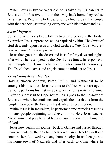When Jesus is twelve years old he is taken by his parents to Jerusalem for Passover, but on their way back home they realise he is missing. Returning to Jerusalem, they find Jesus in the temple with the teachers, astonishing everyone with his understanding.

#### *Jesus' baptism*

Some eighteen years later, John is baptising people in the Jordan river when Jesus approaches and is baptised by him. The Spirit of God descends upon Jesus and God declares, *This is My beloved Son, in whom I am well pleased*.

Jesus then goes into the desert and fasts for forty days and nights, after which he is tempted by the Devil three times. In response to each temptation, Jesus declines and quotes from Deuteronomy. The Devil then leaves and angels come to minister to Jesus.

## *Jesus' ministry in Galilee*

Having chosen Andrew, Peter, Philip, and Nathaneal to be amongst his disciples, Jesus returns to Galilee. At a marriage in Cana, he performs his first miracle when he turns water into wine.

After a short visit to Capernaum, Jesus goes to the Passover at Jerusalem where he confronts and expels the merchants from the temple, then covertly foretells his death and resurrection.

While Jesus is in Jerusalem, he performs some miracles resulting in many people beginning to believe in him. Here Jesus teaches Nicodemus that people must be born again to enter the kingdom of God.

Jesus now begins his journey back to Galilee and passes through Samaria. Outside the city he meets a woman at Jacob's well and converts her, followed by many from the city. Jesus then goes to his home town of Nazareth and afterwards to Cana where he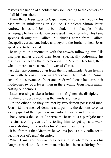restores the health of a nobleman's son, leading to the conversion of all his household.

From there Jesus goes to Capernaum, which is to become his base whilst ministering in Galilee. He selects Simon Peter, Andrew, James and John to be included in his disciples. In the synagogue he heals a demon-possessed man, after which his fame spreads throughout Galilee. Multitudes come from Galilee, Decapolis, Jerusalem, Judea and beyond the Jordan to hear Jesus speak and to be healed.

Jesus goes up a mountain with the crowds following him. His disciples gather around then Jesus, specifically addressing his disciples, preaches the 'Sermon on the Mount', teaching them what it means to be a true follower of Christ.

As they are coming down from the mountainside, Jesus heals a man with leprosy, then in Capernaum he heals a Roman centurion's servant. At Peter and Andrew's house he cures their mother-in-law of a fever, then in the evening Jesus heals many, casting out demons.

Later, crossing a lake, a furious storm frightens the disciples, but is calmed by Jesus rebuking the winds and waves.

On the other side they are met by two demon-possessed men. Jesus rids the men of demons and permits the demons to enter some pigs, but the pigs then rush into the water and drown.

Back across the sea at Capernaum, Jesus tells a paralytic man his sins are forgiven before telling him to get up and walk, demonstrating to the scribes his Messianic authority.

It is after this that Matthew leaves his job as a tax collector to become one of Jesus' disciples.

When Jesus is on his way to a ruler's house where he raises his daughter back to life, a woman, who had been suffering from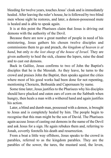bleeding for twelve years, touches Jesus' cloak and is immediately healed. After leaving the ruler's house, he is followed by two blind men whose sight he restores, and later, a demon-possessed mute is healed and is able to speak again.

It is at this point the Pharisees claim that Jesus is driving out demons with the authority of the Devil.

Because there are now a great number of people in need of his ministering, Jesus gathers his chosen twelve disciples and commissions them to go and preach, *the kingdom of heaven is at hand*, but only *to the lost sheep of the house of Israel*. They are given authority to heal the sick, cleanse the lepers, raise the dead and to cast out demons.

Back in Galilee, Jesus confirms to two of John the Baptist's disciples that he is the Messiah. As they leave, he turns to the crowd and praises John the Baptist, then speaks against the cities where most of his good works had been done for not repenting, mentioning Chorazin, Bethsaida and Capernaum by name.

Some time later, Jesus justifies to the Pharisees why his disciples should have plucked and eaten ears of corn on the Sabbath when hungry, then heals a man with a withered hand and again justifies his action.

Later, a blind and dumb man, possessed with a demon, is brought to Jesus and is completely healed by him. The people begin to recognise that this man might be the son of David. The Pharisees again accuse Jesus of casting out demons in the name of the Devil and ask Jesus for a sign. He again rebukes them and, referring to Jonah, covertly foretells his death and resurrection.

From a boat a little way offshore, Jesus speaks to the crowd in parables, referred to as the kingdom parables. They are the parables of the sower, the tares, the mustard seed, the leven,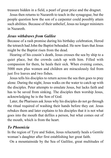treasure hidden in a field, a pearl of great price and the dragnet.

Jesus then returns to Nazareth to teach in the synagogue, but the people question how the son of a carpenter could possibly attain such abilities. Because of their unbelief, Jesus no longer ministers in Nazareth.

#### *Jesus withdraws from Galilee*

Because of a rash promise during his birthday celebration, Herod the tetrarch had John the Baptist beheaded. He now fears that Jesus might be the Baptist risen from the dead.

Hearing of his cousin's death, Jesus crosses the sea by ship to a quiet place, but the crowds catch up with him. Filled with compassion for them, he heals their sick. When evening comes, 5000 men plus women and children are miraculously fed from just five loaves and two fishes.

Jesus tells his disciples to return across the sea then goes to pray alone. During the night, Jesus walks on the water to catch up with the disciples. Peter attempts to emulate Jesus, but lacks faith and has to be saved from sinking. The disciples then worship Jesus, acknowledging he is the Son of God.

Later, the Pharisees ask Jesus why his disciples do not go through the ritual required of washing their hands before they eat. Jesus rebukes them and later explains to his disciples that it is not what goes into the mouth that defiles a person, but what comes out of the mouth, which is from the heart.

#### *To Phoenicia*

In the region of Tyre and Sidon, Jesus reluctantly heals a Gentile woman's daughter after first establishing her great faith.

On a mountainside by the Sea of Gaililee, great multitudes of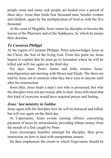people come and many sick people are healed over a period of three days. Jesus then feeds four thousand men, besides women and children, again by the multiplication of food as with the five thousand.

At the coast of Magdala, Jesus warns his disciples to beware the leaven of the Pharisees and of the Sadducees, by which he means their doctrine.

### *To Caesarea Philippi*

At the region of Caesarea Philippi, Peter acknowledges Jesus as the Christ, the Son of the living God. From this point on, Jesus begins to explain that he must go to Jerusalem where he will be killed and will rise again on the third day.

Six days later, Peter, James and John witness Jesus' transfiguration and meeting with Moses and Elijah. The three are told by Jesus not to mention what they have seen to anyone until after his resurrection.

Soon after, Jesus heals a man's son who is possessed, but who the disciples were not previously able to heal. Jesus tells them that this kind of exorcism would have required prayer and fasting.

### *Jesus' last ministry in Galilee*

Jesus again tells his disciples how he will be betrayed and killed, but will rise again on the third day.

At Capernaum, Jesus avoids causing offence concerning payment of taxes by miraculously providing tribute money from the mouth of a fish caught by Peter.

Jesus encourages humility amongst his disciples, then gives instruction on how to deal with unrepentant sinners.

He then emphasises the extent to which forgiveness should be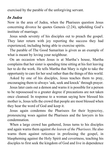exercised by the parable of the unforgiving servant.

## *In Judea*

Now in the area of Judea, when the Pharisees question Jesus concerning divorce he quotes Genesis (2:24), upholding God's institute of marriage.

Jesus sends seventy of his disciples out to preach the gospel. They later return with joy reporting the success they had experienced, including being able to exorcise spirits.

The parable of The Good Samaritan is given as an example of what is meant by loving your neighbour.

On an occasion when Jesus is at Martha's house, Martha complains that her sister is spending time sitting at his feet leaving her to do the work. He tells Martha that Mary is right to take the opportunity to care for her soul rather than the things of this world.

Asked by one of his disciples, Jesus teaches them to pray, encouraging them to always 'ask, seek and knock' through prayer.

Jesus later casts out a demon and warns it is possible for a person to be repossessed to a greater degree if precautions are not taken once cleansed. In response to a woman saying how blessed his mother is, Jesus tells the crowd that people are most blessed when they hear the word of God and keep it.

Jesus again condemns the Pharisees for their hypocrisy, pronouncing woes against the Pharisees and the lawyers in his condemnation.

When a large crowd has gathered, Jesus turns to his disciples and again warns them against *the leaven of the Pharisees*. He also warns them against reticence in professing the gospel, in blaspheming against the Holy Spirit and covertness, teaching his disciples to first seek the kingdom of God and live in dependence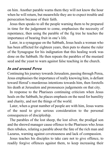on him. Another parable warns them they will not know the hour when he will return, but meanwhile they are to expect trouble and persecution because of their faith.

Jesus then speaks to all the people warning them to be prepared in time for the judgement to come, emphasises the necessity of repentance, then using the parable of the fig tree he teaches the importance of bearing fruit in one's life.

Later, in a synagogue on the Sabbath, Jesus heals a woman who has been afflicted for eighteen years, then puts to shame the ruler of the Synagogue for his indignation that this healing work was done on the Sabbath. He then repeats the parables of the mustard seed and the yeast to warn against false teaching in the church.

#### *In and around Perea*

Continuing his journey towards Jerusalem, passing through Perea, Jesus emphasises the importance of really knowing him, is defiant toward Herod's murderous intentions towards him, then foretells his death at Jerusalem and pronounces judgements on that city.

In response to the Pharisees continuing criticism when Jesus heals on the Sabbath, he places emphasis on the need for humility and charity, and not the things of the world.

Later, when a great number of people are with him, Jesus warns of the need to give serious consideration to the personal consequences of discipleship.

The parables of the lost sheep, the lost silver, the prodigal son and the shrewd manager cause offence to the Pharisees who Jesus then rebukes, relating a parable about the fate of the rich man and Lazarus, warning against covetousness and lack of compassion.

Jesus teaches his disciples to take care not to give offence, to readily forgive offences against them, to keep increasing their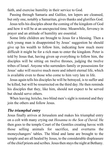faith, and exercise humility in their service to God.

Passing through Samaria and Galilee, ten lepers are cleansed, but only one, notably a Samaritan, gives thanks and glorifies God.

Jesus tells his disciples about the coming of the kingdom of God and how it will be at an unexpected time. Meanwhile, fervency in prayer and an attitude of humility are essential.

Some little children are brought to Jesus for a blessing. Then a rich young man is disappointed by Jesus' suggestion he should give up his wealth to follow him, indicating how much more difficult it might be for a rich man to enter the kingdom. Peter is told by Jesus that, having given up everything to follow him, the disciples will be sitting on twelve thrones, judging the twelve tribes of Israel. Anyone who surrenders family or possessions for Jesus' sake will receive much more and inherit eternal life, which is available even to those who come to him very late in life.

Jesus again tells his disciples he will be betrayed, is to suffer and be killed, but will be resurrected on the third day. He then reminds his disciples that they, like him, should not expect to be served but should serve others.

When leaving Jericho, two blind men's sight is restored and they join the others and follow Jesus.

#### *The triumphal entry*

Jesus finally arrives at Jerusalem and makes his triumphal entry on a colt with many crying out *Hosanna to the Son of David*. He then goes to the temple Court of the Gentiles creating havoc with those selling animals for sacrifice, and overturns the moneychangers' tables. The blind and lame are brought to the temple and are all healed by Jesus, to the considerable displeasure of the chief priests and scribes. Jesus then stays the night at Bethany.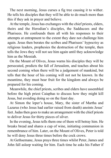The next morning, Jesus curses a fig tree causing it to wither. He tells his disciples that they will be able to do much more than this if they ask in prayer and believe.

At the temple, Jesus has exchanges with the chief priests, elders, theirs and the Herodian's disciples, the Sadducees and the Pharisees. He confounds them all with his responses to their attempts at entrapment to the extent they dare not challenge him again. Jesus then berates the scribes and Pharisees' hypocrisy as religious leaders, prophesies the destruction of the temple, then tells the Jews they will not see him again until they acknowledge him as the Messiah.

On the Mount of Olives, Jesus warns his disciples they will be persecuted, predicts the fall of Jerusalem, and teaches about his second coming when there will be a judgement of mankind, but tells that the hour of his coming will not not be known. In the meantime, they must bear fruit for the kingdom and always be prepared for his coming.

Meanwhile, the chief priests, scribes and elders have assembled before the high priest Caiaphas to discuss how they might kill Jesus, but avoiding doing so on the feast day.

At Simon the leper's house, Mary, the sister of Martha and Lazarus (who Jesus had earlier raised from death) anoints Jesus' feet. Judas then goes to make an arrangement with the chief priests to deliver Jesus for thirty pieces of silver.

In the evening, Jesus tells them one of them will betray him. He breaks bread and shares a cup of wine, initiating communion in remembrance of him. Later, on the Mount of Olives, Peter is told he will deny Jesus three times before the cock crows.

At Gethsemane, Jesus prays three times whilst Peter, James and John fall asleep waiting for him. Each time he asks his Father if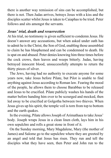there is another way remission of sins can be accomplished, but there is not. Then Judas arrives, betrays Jesus with a kiss and the disciples scatter whilst Jesus is taken to Caiaphas to be tried. Peter follows and sits amongst the servants*.*

#### *Jesus' trial, death and resurrection*

At his trial, no testimony is given sufficient to condemn Jesus. He doesn't answer any accusations, but when asked under oath has to admit he is the Christ, the Son of God, enabling those assembled to claim he has blasphemed and can be condemned to death. He is spat on and abused. Peter denies knowing him three times before the cock crows, then leaves and weeps bitterly. Judas, having betrayed innocent blood, unsuccessfully attempts to return the thirty pieces of silver.

The Jews, having had no authority to execute anyone for some years now, take Jesus before Pilate, but Pilot is unable to find anything against Jesus according to Roman law. Fearing the mood of the people, he allows them to choose Barabbas to be released and Jesus to be crucified. Pilate publicly washes his hands of the matter before handing him over to be scourged and mocked, then led away to be crucified at Golgotha between two thieves. When Jesus gives up his spirit, the temple veil is torn from top to bottom and the earth quakes.

In the evening, Pilate allows Joseph of Arimathaea to take Jesus' body. Joseph wraps Jesus in a clean linen cloth, lays him in his own sepulchre and rolls a great stone in front of it.

On the Sunday morning, Mary Magdalene, Mary (the mother of James) and Salome go to the sepulchre where they are greeted by an angel and told that Jesus has risen. They run and tell the disciples what they have seen, then Peter and John run to the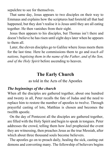sepulchre to see for themselves.

That same day, Jesus appears to two disciples on their way to Emmaus and explains how the scriptures had foretold all that had happened, but they don't realise it is Jesus until they are all eating together. He then vanishes from their sight.

Jesus then appears to his disciples, but Thomas isn't there and doesn't believe he has risen until eight days later when he appears to them all.

Later, the eleven disciples go to Galilee where Jesus meets them for the last time. Here he commissions them to go and *teach all nations, baptising them in the name of the Father, and of the Son, and of the Holy Spirit* before ascending to heaven.

## **The Early Church**

as told in the Acts of the Apostles

#### *The beginnings of the church*

When all the disciples are gathered together, about one hundred and twenty in all, Peter recalls the fate of Judas and the need to replace him to restore the number of apostles to twelve. Through prayerful casting of lots, Matthias is chosen and becomes the twelfth apostle.

On the day of Pentecost all the disciples are gathered together, are filled with the Holy Spirit and begin to speak in tongues. Peter addresses the crowd, telling them how Joel prophesied the event they are witnessing, then preaches Jesus as the true Messiah, after which about three thousand souls become believers.

The apostles go on to preach daily, healing the sick, casting out demons and converting many. The fellowship of believers begins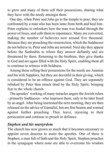to grow and many of them sell their possessions, sharing what they have with the needy amongst them.

One day, when Peter and John go to the temple to pray, they are confronted by a man who has been lame from birth and heal him. Peter explains to onlookers how the man was healed through the power of Jesus, and calls them to repentance. Many are converted, making the number of believers now around five thousand. Because they are preaching the resurrection, which the Sadducees do not believe in, Peter and John are arrested. Next day they appear before the Sanhedrin to whom they answer defiantly and are threatened by them. Returning to the brethren, they give thanks to God and are again filled with the Holy Spirit, enabling them all to continue to witness with boldness.

Among those selling their possessions for the needy are Ananias and his wife Sapphira, but they are deceitful in their giving, which is considered to be an offence against God. They are separately rebuked by Peter then struck dead by the Holy Spirit, bringing fear to the whole church.

The apostles' working of many miracles angers the Jewish rulers - primarily Sadducees - who imprison them, only to be later freed by an angel. After being rearrested the next morning, they are then released on the advice of Gamaliel, but are first beaten and warned against further preaching. They leave, rejoicing in their persecution and continue to preach in defiance.

#### *Stephen and his martyrdom*

The church has now grown so much that it becomes necessary to appoint seven deacons to assist the apostles. One of these is Stephen, a man full of faith and the Holy Spirit. Stephen preaches in the synagogue where none are able to overcome his wisdom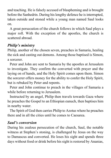and teaching. He is falsely accused of blaspheming and is brought before the Sanhedrin. During his lengthy defence he is interrupted, taken outside and stoned while a young man named Saul looks on.

A great persecution of the church follows in which Saul plays a major roll. With the exception of the apostles, the church is scattered abroad.

### *Philip's ministry*

Philip, another of the chosen seven, preaches in Samaria, healing the sick and casting out demons. Among those baptised is Simon, a sorcerer.

Peter and John are sent to Samaria by the apostles at Jerusalem to investigate. They confirm the converted with prayer and the laying on of hands, and the Holy Spirit comes upon them. Simon the sorcerer offers money for the ability to confer the Holy Spirit, but is rebuked by Peter and repents.

Peter and John continue to preach in the villages of Samaria a while before returning to Jerusalem.

Instructed by an angel, Philip then travels towards Gaza where he preaches the Gospel to an Ethiopian eunuch, then baptises him in nearby water.

The Spirit of God then carries Philip to Azotus where he preaches there and in all the cities until he comes to Caesarea.

#### *Saul's conversion*

During his zealous persecution of the church, Saul, the notable witness at Stephen's stoning, is challenged by Jesus on the way to Damascus and converted. He loses his sight and spends three days without food or drink before his sight is restored by Ananias,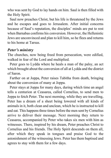who was sent by God to lay hands on him. Saul is then filled with the Holy Spirit.

Saul now preaches Christ, but his life is threatened by the Jews and he escapes and goes to Jerusalem. After initial concerns because of Saul's reputation, the disciples' minds are put to rest when Barnabas confirms his conversion. However, the Hellenistic Jews are unconvinced and plan to kill him, so he flees and returns to his home at Tarsus.

#### *Peter's ministry*

The churches, now being freed from persecution, were edified, walked in fear of the Lord and multiplied.

Peter goes to Lydda where he heals a man of the palsy, an act which brought about the conversion of all at Lydda and the district of Saron.

Farther on at Joppa, Peter raises Tabitha from death, bringing about the conversion of many at Joppa.

Peter stays at Joppa for many days, during which time an angel tells a centurion at Ceasarea, called Cornelius, to send men to Joppa to fetch Peter. The next morning, while they are travelling, Peter has a dream of a sheet being lowered with all kinds of animals in it, both clean and unclean, which he is instructed to kill and eat. This happens three times before the men sent by Cornelius arrive to deliver their message. Next morning they return to Ceasarea, accompanied by Peter who takes six men with him as witnesses. There, inspired by his dream, Peter preaches Christ to Cornelius and his friends. The Holy Spirit descends on them all, after which they speak in tongues and praise God to the astonishment of the witnessing Jews. Peter has them baptised and agrees to stay with them for a few days.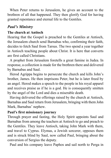When Peter returns to Jerusalem, he gives an account to the brethren of all that happened. They then glorify God for having granted repentance and eternal life to the Gentiles.

## *Paul's Ministry*

#### **The church at Antioch**

Hearing that the Gospel is preached to the Gentiles at Antioch, the Jerusalem church send Barnabas who, confirming their faith, decides to fetch Saul from Tarsus. The two spend a year together in Antioch teaching people about Christ. It is here that converts are first called Christians.

A prophet from Jerusalem foretells a great famine in Judea. In response, a collection is made for the brethren there and delivered by Barnabas and Saul.

Herod Agrippa begins to persecute the church and kills John's brother, James. He then imprisons Peter, but he is later freed by an angel. Herod makes a speech to the people in his royal apparel and receives praise as if he is a god. He is consequently smitten by the angel of the Lord and dies a miserable death.

Having delivered the offerings raised by the church at Antioch, Barnabas and Saul return from Jerusalem, bringing with them John Mark, Barnabas' nephew.

#### **Paul's first missionary journey**

Through prayer and fasting, the Holy Spirit appoints Saul and Barnabas from among the teachers at Antioch to go and preach to the Gentiles. They leave Antioch, taking John Mark with them, and travel to Cyprus. Elymas, a Jewish sorcerer, opposes them and is struck blind by Saul, now called Paul, bringing about the conversion of Sergius the deputy.

Paul and his company leave Paphos and sail north to Perga in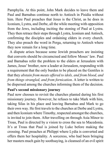Pamphylia. At this point, John Mark decides to leave them and Paul and Barnabas continue north to Antioch in Pisidia without him. Here Paul preaches that Jesus is the Christ, as he does in Iconium, Lystra, and Derbe, all the while meeting with opposition from the Jews, including inciting the stoning of Paul at Lystra. They then retrace their steps through Lystra, Iconium and Antioch, confirming the disciples and ordaining elders in every church. They also preach the word in Perga, returning to Antioch where they now remain for a long time.

A dispute arises because some Jewish preachers are insisting that converts should be circumcised and follow Moses' law. Paul and Barnabas refer the problem to the elders at Jerusalem with James, Jesus' brother, now a leader at Jerusalem, responding with a requirement that the only burden to be placed on the Gentiles is that they *abstain from meats offered to idols, and from blood, and from things strangled, and from fornication*. A letter is written to be dispersed among the churches informing them of the decision.

#### **Paul's second missionary journey**

Paul now chooses to revisit the churches planted during his first missionary journey. However, he refuses to take Mark with him, taking Silas in his place and leaving Barnabas and Mark to go their own way. He first travels to the churches at Derbe and Lystra, and then Iconium where Timothy, respected amongst the churches, is invited to join them. After travelling on through Asia Minor to Troas, Paul is directed by a vision to cross the sea to Macedonia. It's at Troas that Paul is joined by Luke before making the crossing. Paul preaches at Philippi where Lydia is converted and offers them her hospitality. A sorceress, who had been bringing her masters much gain by soothsaying, is cleansed of an evil spirit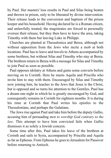by Paul. Her masters' loss results in Paul and Silas being beaten and thrown in prison, only to be liberated by divine intervention. Their release leads to the conversion and baptism of the prison keeper and his household. Having declared he is a Roman citizen, and unlawfully treated, the magistrates are forced to personally oversee their release, but they then have to leave the area, taking Timothy with them but leaving Luke in Philippi.

Churches are planted at Thessalonica and Berea, although not without opposition from the Jews who incite a mob at both locations. Paul has to leave and travels to Athens accompanied by some brethren, but without Silas and Timothy who stay at Berea. The brethren return to Berea with a message for Silas and Timothy to join Paul as soon as possible.

Paul opposes idolatry at Athens and gains some converts before moving on to Corinth. Here he meets Aquila and Priscilla who invite him to stay with them. Encouraged by Silas and Timothy now joining him, he teaches to the Jews that Jesus is the Christ, but is opposed and so turns his attention to the Gentiles. Paul has a dream one night in which he is greatly encouraged by God, and consequently remains in Corinth for eighteen months. It is during his time at Corinth that Paul writes his epistles to the Thessalonians, and perhaps the Galatians.

The Jews rise against Paul and take him before the deputy Gallio, accusing him of persuading *men to worship God contrary to the law*. This attempt to have him convicted fails when Gallio dismisses it as solely a Jewish concern.

Some time after this, Paul takes his leave of the brethren at Corinth and sails to Syria, accompanied by Priscilla and Aquila as far as Ephesus. From Ephesus he goes to Jerusalem for Passover before returning to Antioch.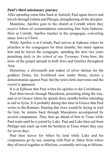#### **Paul's third missionary journey**

After spending some time back at Antioch, Paul again leaves and travels through Galatia and Phrygia, strengthening all the disciples.

Meantime, Apollos goes to the church at Corinth where they receive letters of commendation concerning him from Ephesus. Here at Corinth, Apollos teaches in the synagogue, converting many Jews to Christ.

While Apollos is at Corinth, Paul arrives at Ephesus where he preaches in the synagogues for three months, but many oppose him and he leaves the synagogue, spending the next two years preaching *daily in the school of one Tyrannus*. From here, the news of the gospel spreads to both Jews and Gentiles throughout Asia.

Demetrius, a silversmith and maker of silver shrines for the goddess Diana, his livelihood now under threat, incites a demonstration against Paul, but the town clerk intervenes and the crowd is appeased.

It is at Ephesus that Paul writes his epistles to the Corinthians.

Paul then travels through Macedonia, preaching along the way, and on to Greece where he spends three months before intending to sail to Syria. It is probably during this time in Greece that Paul writes to the Romans. Hearing that Jews would be laying in wait for him, he returns back through Macedonia accompanied by several companions. They then go ahead of him to Troas while Paul waits until he is joined by Luke. Paul and Luke then sail from Philippi and catch up with the brethren at Troas where they stay for seven days.

Paul then leaves for Athos by land while Luke and his companions go by sea, meeting with Paul at Athos from where they all travel together to Mitylene, eventually arriving at Miletus.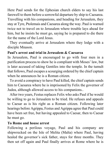Here Paul sends for the Ephesian church elders to say his last farewell to them before a sorrowful departure by ship to Caesarea. Travelling with his companions, and heading for Jerusalem, they stay at Tyre, Ptolemais and Caesarea along the way. Paul is warned twice not to travel on to Jerusalem where trouble lays ahead for him, but he insists he must go, saying he is prepared to die there for the name of the Lord Jesus.

They eventually arrive at Jerusalem where they lodge with a disciple Mnason.

#### **Paul's arrest and trial in Jerusalem & Caesarea**

In Jerusalem, Paul is encouraged to go with four men in a purification process to show he is compliant with Moses' law, but is later accused of taking Gentiles into the temple. In the tumult that follows, Paul escapes a scourging ordered by the chief captain when he announces he is a Roman citizen.

To avoid a conspiracy to have Paul killed, the chief captain sends him to Caesarea where he is imprisoned by Felix the governor of Judea, although allowed access to his companions..

After two years, Festus replaces Felix who asks Paul if he would be willing to go to Jerusalem to be tried. He refuses and appeals to Caesar as is his right as a Roman citizen. Following later hearings before Agrippa, Festus and Agrippa agree that Paul could have been set free, but having appealed to Caesar, then to Caesar he must go.

#### **To Rome and house arrest**

Following a perilous voyage, Paul and his company are shipwrecked on the Isle of Melita (Malta) where Paul, having healed the governor's sick father, stays for three months. They then set off again and Paul finally arrives at Rome where he is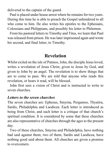delivered to the captain of the guard.

Paul is placed under house arrest where he remains for two years. During this time he is able to preach the Gospel unhindered to all who come to him. He also writes his epistles to the Ephesians, Colossians and Philippians, and possibly his letter to Philemon.

From his pastoral letters to Timothy and Titus, we learn that Paul was released from prison. He was later imprisoned again and wrote his second, and final letter, to Timothy.

## **Revelation**

Whilst exiled on the isle of Patmos, John, the disciple Jesus loved, writes a revelation of Jesus Christ, given to Jesus by God, and given to John by an angel. The revelation is to show things that are to come to pass. We are told that anyone who reads this revelation, or hears it read, will be blessed.

John first sees a vision of Christ and is instructed to write to seven churches.

#### *Letters to the seven churches*

The seven churches are: Ephesus, Smyrna, Pergamos, Thyatira, Sardis, Philadelphia and Laodicea. Each letter is introduced as being from Christ, and each letter is a critique of that church's spiritual condition. It is considered by some that these churches are also representative of churches through the ages to the present day.

Two of these churches, Smyrna and Philadelphia, have nothing bad said against them; two of them, Sardis and Laodicea, have nothing good said about them. All churches are given a promise to overcomers.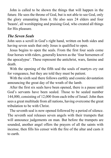John is called to be shown the things that will happen in the future. He sees the throne of God, but is not able to see God, only the glory emanating from it. He also sees 24 elders and four 'beasts', all worshipping and praising God, who created all things for His pleasure.

#### *The Seven Seals*

John sees a scroll in God's right hand, written on both sides and having seven seals that only Jesus is qualified to open.

Jesus begins to open the seals. From the first four seals come four horses with riders, generally known as the 'four horsemen of the apocalypse'. These represent the antichrist, wars, famine and death.

With the opening of the fifth seal the souls of martyrs cry out for vengeance, but they are told they must be patient.

With the sixth seal there follows earthly and cosmic devastation announcing the great day of the wrath of the lamb.

After the first six seals have been opened, there is a pause until God's servants have been sealed. Those to be sealed number 144,000, consisting of 12,000 from each tribe of Israel. John then sees a great multitude from all nations, having overcome the great tribulation to be with Christ.

The seventh seal is now opened followed by a period of silence. The seventh seal releases seven angels with their trumpets that will announce judgements on man. But before the trumpets are sounded, another angel offers the prayers of all the saints with incense, then fills his censer with the fire of the altar and casts it to earth.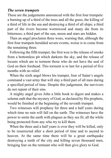#### *The seven trumpets*

These are the judgements announced with the first four trumpets: a burning up of a third of the trees and all the grass; the killing of a third of life in the sea and destroying a third of all ships; a third part of the rivers become wormwood and many die from its bitterness; a third part of the sun, moon and stars are hidden.

Then an angel proclaims three woes, warning that, although the first four trumpets heralded severe events, worse is to come from the remaining three.

Following the fifth trumpet, the first woe is the release of smoke from a bottomless pit which darkens the sky, and the release of locusts which are to torment those who do not have the seal of God on their forehead. This torment is to last for a period of five months with no relief.

When the sixth angel blows his trumpet, four of Satan's angels command a vast army that will slay a third part of all men during a specified period of time. Despite this judgement, the survivors do not repent of their sins.

A mighty angel gives John a little book to digest and makes a solemn oath that the mystery of God, as declared by His prophets, would be finished at the beginning of the seventh trumpet.

Two witnesses will prophesy for three and a half years during which time no rain will fall on the earth. The witnesses have the power to smite the earth with plagues as they see fit, all the while being protected from any who try to kill them.

When the three and a half years is over they will be killed, only to be resurrected after a short period of time and to ascend to heaven. At the same time there will be a great earthquake destroying a tenth of the city and killing seven thousand men, bringing fear on the remnant who will then give glory to God.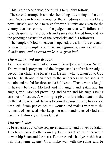This is the second woe, the third is to quickly follow.

The seventh trumpet is sounded heralding the coming of the third woe. Voices in heaven announce the kingdoms of the world are now Christ's, and he is to reign for ever. Thanks are given for the victory that has come, for the judgement that will follow and rewards given to his prophets and saints that feared him, and for the pending destruction of the Antichrist and his followers.

The temple of God in heaven is opened, the ark of the covenant is seen in the temple and there are *lightnings, and voices, and thunderings, and an earthquake, and great hail*.

#### *The woman and the dragon*

John now sees a vision of a woman [Israel] and a dragon [Satan]. The woman is pregnant and the dragon stands before her ready to devour her child. She bares a son [Jesus], who is taken up to God and to His throne, then flees to the wilderness where she is to remain and be fed for three and a half years. Then a war is fought in heaven between Michael and his angels and Satan and his angels, with Michael prevailing and Satan and his angels being cast out of heaven. A warning is given to the inhabitants of the earth that the wrath of Satan is to come because he only has a short time left. Satan persecutes the woman and makes war with the remnant of her seed who keep the commandments of God and have the testimony of Jesus Christ.

#### *The two beasts*

A beast arises out of the sea, given authority and power by Satan. This beast has a deadly wound, yet survives it, causing the world to worship Satan and the beast. For three and a half years this beast will blaspheme against God, make war with the saints and be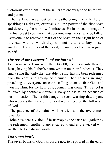victorious over them. Yet the saints are encouraged to be faithful and patient.

Then a beast arises out of the earth, being like a lamb, but speaking as a dragon, exercising all the power of the first beast and deceiving the world with miracles. He instructs an image of the first beast to be made that everyone must worship or be killed. Everyone is to receive a mark of the beast on their right hand or forehead, without which they will not be able to buy or sell anything. The number of the beast, the number of a man, is given as 666.

#### *The joy of the redeemed and the harvest*

John now sees Jesus with the 144,000, the first-fruits through Jesus, having his Father's name written on their foreheads. They sing a song that only they are able to sing, having been redeemed from the earth and having no blemish. Then he sees an angel preaching to everyone on earth, calling them to fear God and worship Him, for the hour of judgement has come. This angel is followed by another announcing Babylon has fallen because of her fornication. Then a third angel is seen, warning that anyone who receives the mark of the beast would receive the full wrath of God.

The patience of the saints will be tried and the overcomers rewarded.

John now sees a vision of Jesus reaping the earth and gathering the redeemed. Another angel is called to gather the wicked who are then to face divine wrath.

#### *The seven bowls*

The seven bowls of God's wrath are now to be poured on the earth.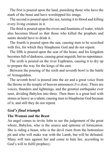The first is poured upon the land, punishing those who have the mark of the beast and have worshipped his image.

The second is poured upon the sea, turning it to blood and killing every living creature in it.

The third is poured upon the rivers and fountains of water, which also becomes blood so that those who killed the prophets and saints should have to drink it.

The fourth is poured upon the sun, causing men to be scorched with fire, for which they blaspheme God and do not repent.

The fifth is poured upon the seat of the beast, and his kingdom becomes full of darkness, causing great anguish, but no repentance.

The sixth is poured on the river Euphrates, causing it to dry up to prepare the way for the kings of the east.

Between the pouring of the sixth and seventh bowl is the battle of Armageddon.

The seventh bowl is poured into the air and a great voice from the throne in the temple of heaven announces *It is done*. There are voices, thunders and lightnings, and the greatest earthquake ever seen, dividing Babylon into three. Then there is a great hail with stones as heavy as a talent, causing men to blaspheme God because of it, and still they do not repent.

#### *God's final triumph*

#### **The Woman and the Beast**

An angel comes to invite John to see the judgement of the great whore, Babylon, who is the source and epitome of fornication. She is riding a beast, who is the devil risen from the bottomless pit and who will make war with the Lamb, but will be defeated. Many will turn against her and come to hate her, according to God's will to fulfil prophecy.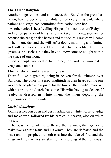#### **The Fall of Babylon**

Another angel comes and announces that Babylon the great has fallen, having become the habitation of everything evil, where nations and kings had committed fornication with her.

Another voice is heard calling His people to come out of Babylon and not be partaker of her sins, but to take full vengeance on her because she has glorified herself and felt secure. Plagues will come on her in one day and she will suffer death, mourning and famine, and will be utterly burned by fire. All had benefited from her greatness and riches, but they have all now come to nought within the space of one hour.

God's people are called to rejoice, for God has now taken vengeance on her.

#### **The hallelujah and the wedding feast**

There follows a great rejoicing in heaven for the triumph over Babylon. The voice of a great multitude is then heard calling one another to be glad and rejoice, for the time of the Lamb's marriage with his bride, the church, has come. His wife, having made herself ready, is dressed in white linen, the linen depicting the righteousness of the saints.

### *Christ victorious*

John sees heaven open and Jesus riding on a white horse to judge and make war, followed by his armies in heaven, also on white horses.

The beast, kings of the earth and their armies, then gather to make war against Jesus and his army. They are defeated and the beast and his prophet are both cast into the lake of fire, and the kings and their armies are slain to the rejoicing of the righteous.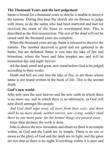#### **The Thousand Years and the last judgement**

Satan is bound for a thousand years so that he is unable to deceive the nations. During this time the church sits on thrones to judge with Jesus, as do the saints who had been martyred and had not received the mark of the beast or worshipped him. This is described as the first resurrection. The rest of the dead will not be raised until the thousand years are complete.

When the thousand years are up, Satan is released to deceive the nations. The number deceived is great and are gathered to do battle, but are defeated. Satan is cast into the lake of fire and brimstone, where the beast and false prophet are, and will be tormented day and night forever.

All the dead, small and great, now stand before God to be judged according to their works.

Death and hell are cast into the lake of fire, as are those whose name is not found written in the book of life. This is the second death.

#### **God's new world**

John now sees the new heaven and the new earth in which there is no more sea, and in which there is no tabernacle, as God will now dwell amongst His people.

*And God shall wipe away all tears from their eyes; and there shall be no more death, neither sorrow, nor crying, neither shall there be any more pain: for the former things are passed away*.

Jesus then declares the work is done.

John is shown the new Jerusalem and observes there is no temple within, as God and the Lamb are its temple. There is no sun or moon as the glory of God and the lamb are its light, and the gates are not shut as there is no night. Everything within it is pure and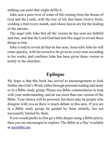nothing can enter that might defile it.

John sees a pure river of water of life coming from the throne of God and the Lamb, with the tree of life that bares twelve fruits, yielding a fruit every month, and whose leaves are for the healing of the nations.

The angel tells John that all the visions he has seen are faithful and true, and that the Lord God had sent His angel to reveal these things to him.

John is told to reveal all that he has seen. Jesus tells John he will come quickly, with his reward to be given to every man according to his works, and confirms John has been given these visions to testify to the churches.

## **Epilogue**

My hope is that this book has served as encouragement to look further into God's Word, either through personal reading and study or in a Bible study group. Please use Bible commentaries to help with your understanding, and do use more than one version of the Bible. Your choice will be personal, but there may be people who disagree with you as there is much debate in this area. If you are in a Bible study group, be guided by them initially, but not necessarily limited by them.

If you would prefer to first go a little deeper using a Bible précis, then you are encouraged to explore 'The Bible in a Day' available at easybible.net